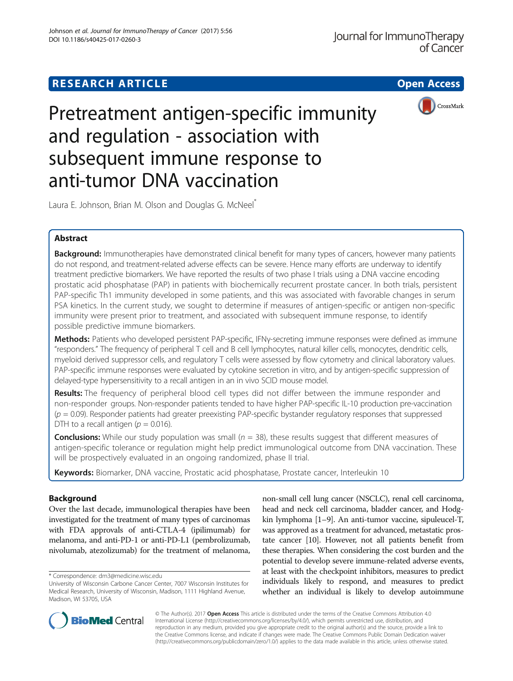## **RESEARCH ARTICLE Example 2014 12:30 The Contract of Contract Contract Contract Contract Contract Contract Contract Contract Contract Contract Contract Contract Contract Contract Contract Contract Contract Contract Contr**



# Pretreatment antigen-specific immunity and regulation - association with subsequent immune response to anti-tumor DNA vaccination

Laura E. Johnson, Brian M. Olson and Douglas G. McNeel<sup>\*</sup>

## Abstract

Background: Immunotherapies have demonstrated clinical benefit for many types of cancers, however many patients do not respond, and treatment-related adverse effects can be severe. Hence many efforts are underway to identify treatment predictive biomarkers. We have reported the results of two phase I trials using a DNA vaccine encoding prostatic acid phosphatase (PAP) in patients with biochemically recurrent prostate cancer. In both trials, persistent PAP-specific Th1 immunity developed in some patients, and this was associated with favorable changes in serum PSA kinetics. In the current study, we sought to determine if measures of antigen-specific or antigen non-specific immunity were present prior to treatment, and associated with subsequent immune response, to identify possible predictive immune biomarkers.

Methods: Patients who developed persistent PAP-specific, IFNy-secreting immune responses were defined as immune "responders." The frequency of peripheral T cell and B cell lymphocytes, natural killer cells, monocytes, dendritic cells, myeloid derived suppressor cells, and regulatory T cells were assessed by flow cytometry and clinical laboratory values. PAP-specific immune responses were evaluated by cytokine secretion in vitro, and by antigen-specific suppression of delayed-type hypersensitivity to a recall antigen in an in vivo SCID mouse model.

Results: The frequency of peripheral blood cell types did not differ between the immune responder and non-responder groups. Non-responder patients tended to have higher PAP-specific IL-10 production pre-vaccination  $(p = 0.09)$ . Responder patients had greater preexisting PAP-specific bystander regulatory responses that suppressed DTH to a recall antigen ( $p = 0.016$ ).

**Conclusions:** While our study population was small  $(n = 38)$ , these results suggest that different measures of antigen-specific tolerance or regulation might help predict immunological outcome from DNA vaccination. These will be prospectively evaluated in an ongoing randomized, phase II trial.

Keywords: Biomarker, DNA vaccine, Prostatic acid phosphatase, Prostate cancer, Interleukin 10

## Background

Over the last decade, immunological therapies have been investigated for the treatment of many types of carcinomas with FDA approvals of anti-CTLA-4 (ipilimumab) for melanoma, and anti-PD-1 or anti-PD-L1 (pembrolizumab, nivolumab, atezolizumab) for the treatment of melanoma,

non-small cell lung cancer (NSCLC), renal cell carcinoma, head and neck cell carcinoma, bladder cancer, and Hodgkin lymphoma [\[1](#page-9-0)–[9](#page-9-0)]. An anti-tumor vaccine, sipuleucel-T, was approved as a treatment for advanced, metastatic prostate cancer [\[10\]](#page-9-0). However, not all patients benefit from these therapies. When considering the cost burden and the potential to develop severe immune-related adverse events, at least with the checkpoint inhibitors, measures to predict individuals likely to respond, and measures to predict whether an individual is likely to develop autoimmune



© The Author(s). 2017 Open Access This article is distributed under the terms of the Creative Commons Attribution 4.0 International License [\(http://creativecommons.org/licenses/by/4.0/](http://creativecommons.org/licenses/by/4.0/)), which permits unrestricted use, distribution, and reproduction in any medium, provided you give appropriate credit to the original author(s) and the source, provide a link to the Creative Commons license, and indicate if changes were made. The Creative Commons Public Domain Dedication waiver [\(http://creativecommons.org/publicdomain/zero/1.0/](http://creativecommons.org/publicdomain/zero/1.0/)) applies to the data made available in this article, unless otherwise stated.

<sup>\*</sup> Correspondence: [dm3@medicine.wisc.edu](mailto:dm3@medicine.wisc.edu)

University of Wisconsin Carbone Cancer Center, 7007 Wisconsin Institutes for Medical Research, University of Wisconsin, Madison, 1111 Highland Avenue, Madison, WI 53705, USA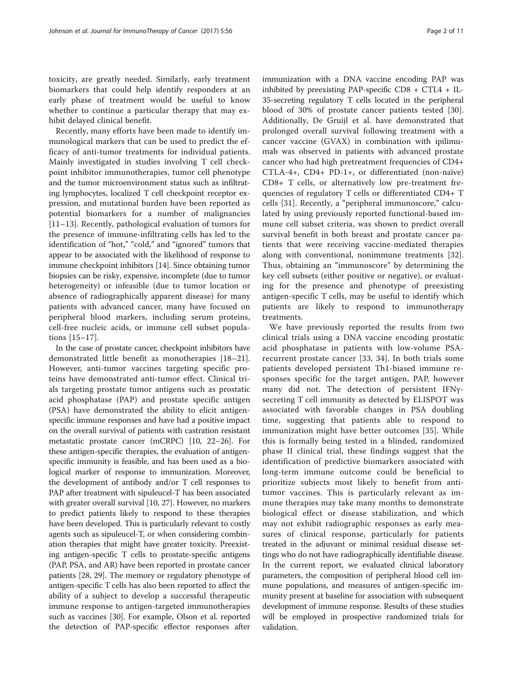toxicity, are greatly needed. Similarly, early treatment biomarkers that could help identify responders at an early phase of treatment would be useful to know whether to continue a particular therapy that may exhibit delayed clinical benefit.

Recently, many efforts have been made to identify immunological markers that can be used to predict the efficacy of anti-tumor treatments for individual patients. Mainly investigated in studies involving T cell checkpoint inhibitor immunotherapies, tumor cell phenotype and the tumor microenvironment status such as infiltrating lymphocytes, localized T cell checkpoint receptor expression, and mutational burden have been reported as potential biomarkers for a number of malignancies [[11](#page-9-0)–[13\]](#page-9-0). Recently, pathological evaluation of tumors for the presence of immune-infiltrating cells has led to the identification of "hot," "cold," and "ignored" tumors that appear to be associated with the likelihood of response to immune checkpoint inhibitors [[14](#page-9-0)]. Since obtaining tumor biopsies can be risky, expensive, incomplete (due to tumor heterogeneity) or infeasible (due to tumor location or absence of radiographically apparent disease) for many patients with advanced cancer, many have focused on peripheral blood markers, including serum proteins, cell-free nucleic acids, or immune cell subset populations [\[15](#page-9-0)–[17](#page-9-0)].

In the case of prostate cancer, checkpoint inhibitors have demonstrated little benefit as monotherapies [[18](#page-9-0)–[21](#page-9-0)]. However, anti-tumor vaccines targeting specific proteins have demonstrated anti-tumor effect. Clinical trials targeting prostate tumor antigens such as prostatic acid phosphatase (PAP) and prostate specific antigen (PSA) have demonstrated the ability to elicit antigenspecific immune responses and have had a positive impact on the overall survival of patients with castration resistant metastatic prostate cancer (mCRPC) [[10](#page-9-0), [22](#page-9-0)–[26\]](#page-9-0). For these antigen-specific therapies, the evaluation of antigenspecific immunity is feasible, and has been used as a biological marker of response to immunization. Moreover, the development of antibody and/or T cell responses to PAP after treatment with sipuleucel-T has been associated with greater overall survival [\[10, 27](#page-9-0)]. However, no markers to predict patients likely to respond to these therapies have been developed. This is particularly relevant to costly agents such as sipuleucel-T, or when considering combination therapies that might have greater toxicity. Preexisting antigen-specific T cells to prostate-specific antigens (PAP, PSA, and AR) have been reported in prostate cancer patients [\[28, 29\]](#page-10-0). The memory or regulatory phenotype of antigen-specific T cells has also been reported to affect the ability of a subject to develop a successful therapeutic immune response to antigen-targeted immunotherapies such as vaccines [\[30](#page-10-0)]. For example, Olson et al. reported the detection of PAP-specific effector responses after

immunization with a DNA vaccine encoding PAP was inhibited by preexisting PAP-specific CD8 + CTL4 + IL-35-secreting regulatory T cells located in the peripheral blood of 30% of prostate cancer patients tested [\[30](#page-10-0)]. Additionally, De Gruijl et al. have demonstrated that prolonged overall survival following treatment with a cancer vaccine (GVAX) in combination with ipilimumab was observed in patients with advanced prostate cancer who had high pretreatment frequencies of CD4+ CTLA-4+, CD4+ PD-1+, or differentiated (non-naïve) CD8+ T cells, or alternatively low pre-treatment frequencies of regulatory T cells or differentiated CD4+ T cells [[31\]](#page-10-0). Recently, a "peripheral immunoscore," calculated by using previously reported functional-based immune cell subset criteria, was shown to predict overall survival benefit in both breast and prostate cancer patients that were receiving vaccine-mediated therapies along with conventional, nonimmune treatments [\[32](#page-10-0)]. Thus, obtaining an "immunoscore" by determining the key cell subsets (either positive or negative), or evaluating for the presence and phenotype of preexisting antigen-specific T cells, may be useful to identify which patients are likely to respond to immunotherapy treatments.

We have previously reported the results from two clinical trials using a DNA vaccine encoding prostatic acid phosphatase in patients with low-volume PSArecurrent prostate cancer [[33, 34\]](#page-10-0). In both trials some patients developed persistent Th1-biased immune responses specific for the target antigen, PAP, however many did not. The detection of persistent IFNγsecreting T cell immunity as detected by ELISPOT was associated with favorable changes in PSA doubling time, suggesting that patients able to respond to immunization might have better outcomes [[35](#page-10-0)]. While this is formally being tested in a blinded, randomized phase II clinical trial, these findings suggest that the identification of predictive biomarkers associated with long-term immune outcome could be beneficial to prioritize subjects most likely to benefit from antitumor vaccines. This is particularly relevant as immune therapies may take many months to demonstrate biological effect or disease stabilization, and which may not exhibit radiographic responses as early measures of clinical response, particularly for patients treated in the adjuvant or minimal residual disease settings who do not have radiographically identifiable disease. In the current report, we evaluated clinical laboratory parameters, the composition of peripheral blood cell immune populations, and measures of antigen-specific immunity present at baseline for association with subsequent development of immune response. Results of these studies will be employed in prospective randomized trials for validation.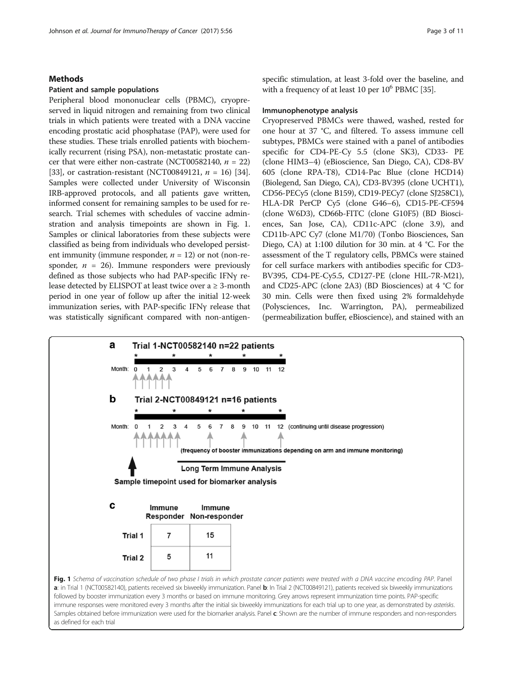## <span id="page-2-0"></span>Methods

## Patient and sample populations

Peripheral blood mononuclear cells (PBMC), cryopreserved in liquid nitrogen and remaining from two clinical trials in which patients were treated with a DNA vaccine encoding prostatic acid phosphatase (PAP), were used for these studies. These trials enrolled patients with biochemically recurrent (rising PSA), non-metastatic prostate cancer that were either non-castrate (NCT00582140,  $n = 22$ ) [[33](#page-10-0)], or castration-resistant (NCT00849121,  $n = 16$ ) [[34](#page-10-0)]. Samples were collected under University of Wisconsin IRB-approved protocols, and all patients gave written, informed consent for remaining samples to be used for research. Trial schemes with schedules of vaccine adminstration and analysis timepoints are shown in Fig. 1. Samples or clinical laboratories from these subjects were classified as being from individuals who developed persistent immunity (immune responder,  $n = 12$ ) or not (non-responder,  $n = 26$ ). Immune responders were previously defined as those subjects who had PAP-specific IFNγ release detected by ELISPOT at least twice over  $a \ge 3$ -month period in one year of follow up after the initial 12-week immunization series, with PAP-specific IFNγ release that was statistically significant compared with non-antigenspecific stimulation, at least 3-fold over the baseline, and with a frequency of at least 10 per  $10^6$  PBMC [\[35\]](#page-10-0).

## Immunophenotype analysis

Cryopreserved PBMCs were thawed, washed, rested for one hour at 37 °C, and filtered. To assess immune cell subtypes, PBMCs were stained with a panel of antibodies specific for CD4-PE-Cy 5.5 (clone SK3), CD33- PE (clone HIM3–4) (eBioscience, San Diego, CA), CD8-BV 605 (clone RPA-T8), CD14-Pac Blue (clone HCD14) (Biolegend, San Diego, CA), CD3-BV395 (clone UCHT1), CD56-PECy5 (clone B159), CD19-PECy7 (clone SJ258C1), HLA-DR PerCP Cy5 (clone G46–6), CD15-PE-CF594 (clone W6D3), CD66b-FITC (clone G10F5) (BD Biosciences, San Jose, CA), CD11c-APC (clone 3.9), and CD11b-APC Cy7 (clone M1/70) (Tonbo Biosciences, San Diego, CA) at 1:100 dilution for 30 min. at 4 °C. For the assessment of the T regulatory cells, PBMCs were stained for cell surface markers with antibodies specific for CD3- BV395, CD4-PE-Cy5.5, CD127-PE (clone HIL-7R-M21), and CD25-APC (clone 2A3) (BD Biosciences) at 4 °C for 30 min. Cells were then fixed using 2% formaldehyde (Polysciences, Inc. Warrington, PA), permeabilized (permeabilization buffer, eBioscience), and stained with an

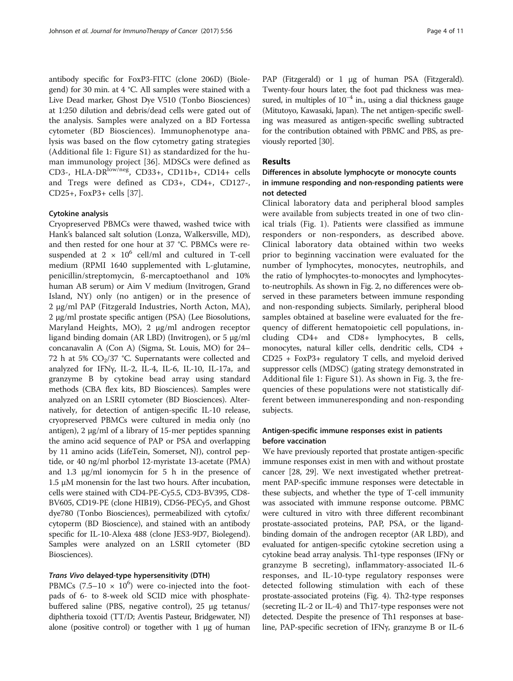antibody specific for FoxP3-FITC (clone 206D) (Biolegend) for 30 min. at 4 °C. All samples were stained with a Live Dead marker, Ghost Dye V510 (Tonbo Biosciences) at 1:250 dilution and debris/dead cells were gated out of the analysis. Samples were analyzed on a BD Fortessa cytometer (BD Biosciences). Immunophenotype analysis was based on the flow cytometry gating strategies (Additional file [1:](#page-9-0) Figure S1) as standardized for the human immunology project [\[36](#page-10-0)]. MDSCs were defined as CD3-, HLA-DR<sup>low/neg</sup>, CD33+, CD11b+, CD14+ cells and Tregs were defined as CD3+, CD4+, CD127-, CD25+, FoxP3+ cells [[37\]](#page-10-0).

## Cytokine analysis

Cryopreserved PBMCs were thawed, washed twice with Hank's balanced salt solution (Lonza, Walkersville, MD), and then rested for one hour at 37 °C. PBMCs were resuspended at  $2 \times 10^6$  cell/ml and cultured in T-cell medium (RPMI 1640 supplemented with L-glutamine, penicillin/streptomycin, ß-mercaptoethanol and 10% human AB serum) or Aim V medium (Invitrogen, Grand Island, NY) only (no antigen) or in the presence of 2 μg/ml PAP (Fitzgerald Industries, North Acton, MA), 2 μg/ml prostate specific antigen (PSA) (Lee Biosolutions, Maryland Heights, MO), 2 μg/ml androgen receptor ligand binding domain (AR LBD) (Invitrogen), or 5 μg/ml concanavalin A (Con A) (Sigma, St. Louis, MO) for 24– 72 h at 5%  $CO<sub>2</sub>/37$  °C. Supernatants were collected and analyzed for IFNγ, IL-2, IL-4, IL-6, IL-10, IL-17a, and granzyme B by cytokine bead array using standard methods (CBA flex kits, BD Biosciences). Samples were analyzed on an LSRII cytometer (BD Biosciences). Alternatively, for detection of antigen-specific IL-10 release, cryopreserved PBMCs were cultured in media only (no antigen), 2 μg/ml of a library of 15-mer peptides spanning the amino acid sequence of PAP or PSA and overlapping by 11 amino acids (LifeTein, Somerset, NJ), control peptide, or 40 ng/ml phorbol 12-myristate 13-acetate (PMA) and 1.3 μg/ml ionomycin for 5 h in the presence of 1.5 μM monensin for the last two hours. After incubation, cells were stained with CD4-PE-Cy5.5, CD3-BV395, CD8- BV605, CD19-PE (clone HIB19), CD56-PECy5, and Ghost dye780 (Tonbo Biosciences), permeabilized with cytofix/ cytoperm (BD Bioscience), and stained with an antibody specific for IL-10-Alexa 488 (clone JES3-9D7, Biolegend). Samples were analyzed on an LSRII cytometer (BD Biosciences).

## Trans Vivo delayed-type hypersensitivity (DTH)

PBMCs (7.5–10  $\times$  10<sup>6</sup>) were co-injected into the footpads of 6- to 8-week old SCID mice with phosphatebuffered saline (PBS, negative control), 25 μg tetanus/ diphtheria toxoid (TT/D; Aventis Pasteur, Bridgewater, NJ) alone (positive control) or together with 1 μg of human

PAP (Fitzgerald) or 1 μg of human PSA (Fitzgerald). Twenty-four hours later, the foot pad thickness was measured, in multiples of  $10^{-4}$  in., using a dial thickness gauge (Mitutoyo, Kawasaki, Japan). The net antigen-specific swelling was measured as antigen-specific swelling subtracted for the contribution obtained with PBMC and PBS, as previously reported [\[30\]](#page-10-0).

## Results

## Differences in absolute lymphocyte or monocyte counts in immune responding and non-responding patients were not detected

Clinical laboratory data and peripheral blood samples were available from subjects treated in one of two clinical trials (Fig. [1\)](#page-2-0). Patients were classified as immune responders or non-responders, as described above. Clinical laboratory data obtained within two weeks prior to beginning vaccination were evaluated for the number of lymphocytes, monocytes, neutrophils, and the ratio of lymphocytes-to-monocytes and lymphocytesto-neutrophils. As shown in Fig. [2](#page-4-0), no differences were observed in these parameters between immune responding and non-responding subjects. Similarly, peripheral blood samples obtained at baseline were evaluated for the frequency of different hematopoietic cell populations, including CD4+ and CD8+ lymphocytes, B cells, monocytes, natural killer cells, dendritic cells, CD4 + CD25 + FoxP3+ regulatory T cells, and myeloid derived suppressor cells (MDSC) (gating strategy demonstrated in Additional file [1](#page-9-0): Figure S1). As shown in Fig. [3,](#page-5-0) the frequencies of these populations were not statistically different between immuneresponding and non-responding subjects.

## Antigen-specific immune responses exist in patients before vaccination

We have previously reported that prostate antigen-specific immune responses exist in men with and without prostate cancer [[28](#page-10-0), [29](#page-10-0)]. We next investigated whether pretreatment PAP-specific immune responses were detectable in these subjects, and whether the type of T-cell immunity was associated with immune response outcome. PBMC were cultured in vitro with three different recombinant prostate-associated proteins, PAP, PSA, or the ligandbinding domain of the androgen receptor (AR LBD), and evaluated for antigen-specific cytokine secretion using a cytokine bead array analysis. Th1-type responses (IFNγ or granzyme B secreting), inflammatory-associated IL-6 responses, and IL-10-type regulatory responses were detected following stimulation with each of these prostate-associated proteins (Fig. [4](#page-6-0)). Th2-type responses (secreting IL-2 or IL-4) and Th17-type responses were not detected. Despite the presence of Th1 responses at baseline, PAP-specific secretion of IFNγ, granzyme B or IL-6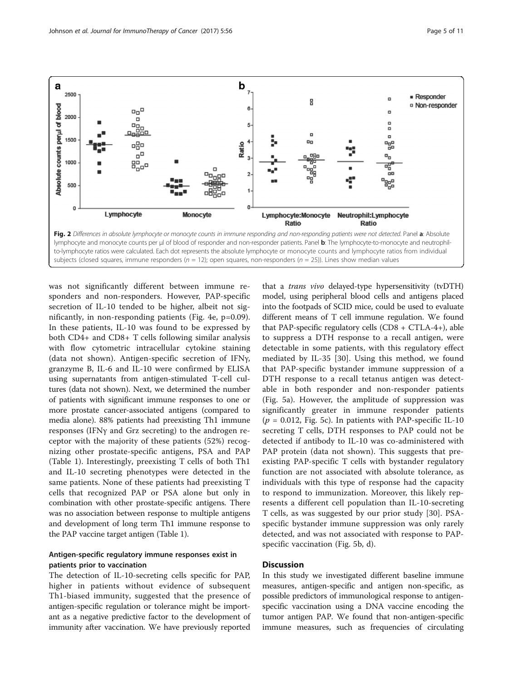<span id="page-4-0"></span>

was not significantly different between immune responders and non-responders. However, PAP-specific secretion of IL-10 tended to be higher, albeit not significantly, in non-responding patients (Fig. [4e,](#page-6-0) p=0.09). In these patients, IL-10 was found to be expressed by both CD4+ and CD8+ T cells following similar analysis with flow cytometric intracellular cytokine staining (data not shown). Antigen-specific secretion of IFNγ, granzyme B, IL-6 and IL-10 were confirmed by ELISA using supernatants from antigen-stimulated T-cell cultures (data not shown). Next, we determined the number of patients with significant immune responses to one or more prostate cancer-associated antigens (compared to media alone). 88% patients had preexisting Th1 immune responses (IFNγ and Grz secreting) to the androgen receptor with the majority of these patients (52%) recognizing other prostate-specific antigens, PSA and PAP (Table [1](#page-7-0)). Interestingly, preexisting T cells of both Th1 and IL-10 secreting phenotypes were detected in the same patients. None of these patients had preexisting T cells that recognized PAP or PSA alone but only in combination with other prostate-specific antigens. There was no association between response to multiple antigens and development of long term Th1 immune response to the PAP vaccine target antigen (Table [1](#page-7-0)).

## Antigen-specific regulatory immune responses exist in patients prior to vaccination

The detection of IL-10-secreting cells specific for PAP, higher in patients without evidence of subsequent Th1-biased immunity, suggested that the presence of antigen-specific regulation or tolerance might be important as a negative predictive factor to the development of immunity after vaccination. We have previously reported

that a *trans vivo* delayed-type hypersensitivity (tvDTH) model, using peripheral blood cells and antigens placed into the footpads of SCID mice, could be used to evaluate different means of T cell immune regulation. We found that PAP-specific regulatory cells  $(CD8 + CTLA-4+)$ , able to suppress a DTH response to a recall antigen, were detectable in some patients, with this regulatory effect mediated by IL-35 [[30\]](#page-10-0). Using this method, we found that PAP-specific bystander immune suppression of a DTH response to a recall tetanus antigen was detectable in both responder and non-responder patients (Fig. [5a](#page-7-0)). However, the amplitude of suppression was significantly greater in immune responder patients  $(p = 0.012,$  Fig. [5c](#page-7-0)). In patients with PAP-specific IL-10 secreting T cells, DTH responses to PAP could not be detected if antibody to IL-10 was co-administered with PAP protein (data not shown). This suggests that preexisting PAP-specific T cells with bystander regulatory function are not associated with absolute tolerance, as individuals with this type of response had the capacity to respond to immunization. Moreover, this likely represents a different cell population than IL-10-secreting T cells, as was suggested by our prior study [\[30](#page-10-0)]. PSAspecific bystander immune suppression was only rarely detected, and was not associated with response to PAPspecific vaccination (Fig. [5b](#page-7-0), d).

## **Discussion**

In this study we investigated different baseline immune measures, antigen-specific and antigen non-specific, as possible predictors of immunological response to antigenspecific vaccination using a DNA vaccine encoding the tumor antigen PAP. We found that non-antigen-specific immune measures, such as frequencies of circulating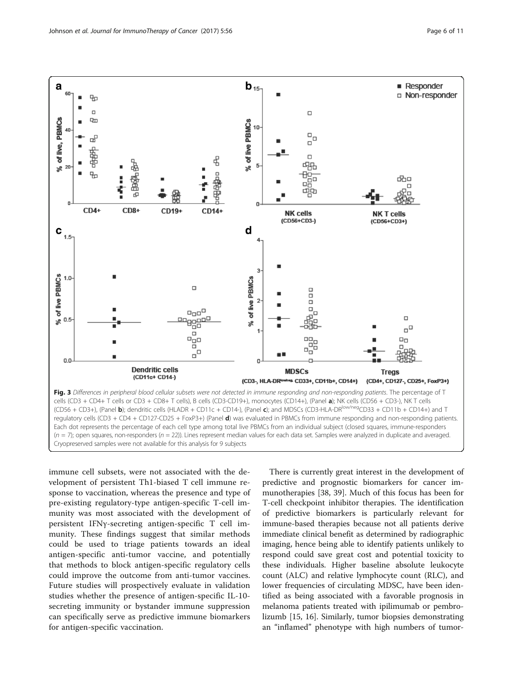<span id="page-5-0"></span>

immune cell subsets, were not associated with the development of persistent Th1-biased T cell immune response to vaccination, whereas the presence and type of pre-existing regulatory-type antigen-specific T-cell immunity was most associated with the development of persistent IFNγ-secreting antigen-specific T cell immunity. These findings suggest that similar methods could be used to triage patients towards an ideal antigen-specific anti-tumor vaccine, and potentially that methods to block antigen-specific regulatory cells could improve the outcome from anti-tumor vaccines. Future studies will prospectively evaluate in validation studies whether the presence of antigen-specific IL-10 secreting immunity or bystander immune suppression can specifically serve as predictive immune biomarkers for antigen-specific vaccination.

There is currently great interest in the development of predictive and prognostic biomarkers for cancer immunotherapies [\[38, 39](#page-10-0)]. Much of this focus has been for T-cell checkpoint inhibitor therapies. The identification of predictive biomarkers is particularly relevant for immune-based therapies because not all patients derive immediate clinical benefit as determined by radiographic imaging, hence being able to identify patients unlikely to respond could save great cost and potential toxicity to these individuals. Higher baseline absolute leukocyte count (ALC) and relative lymphocyte count (RLC), and lower frequencies of circulating MDSC, have been identified as being associated with a favorable prognosis in melanoma patients treated with ipilimumab or pembrolizumb [\[15](#page-9-0), [16](#page-9-0)]. Similarly, tumor biopsies demonstrating an "inflamed" phenotype with high numbers of tumor-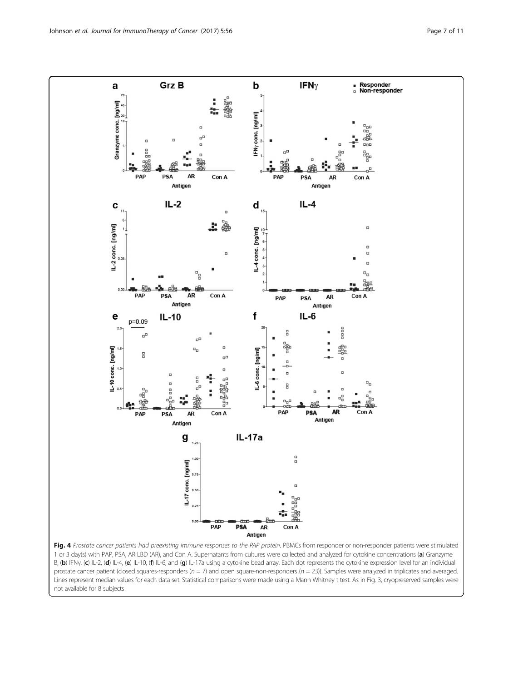<span id="page-6-0"></span>

1 or 3 day(s) with PAP, PSA, AR LBD (AR), and Con A. Supernatants from cultures were collected and analyzed for cytokine concentrations (a) Granzyme B, (b) IFNγ, (c) IL-2, (d) IL-4, (e) IL-10, (f) IL-6, and (g) IL-17a using a cytokine bead array. Each dot represents the cytokine expression level for an individual prostate cancer patient (closed squares-responders ( $n = 7$ ) and open square-non-responders ( $n = 23$ )). Samples were analyzed in triplicates and averaged. Lines represent median values for each data set. Statistical comparisons were made using a Mann Whitney t test. As in Fig. [3](#page-5-0), cryopreserved samples were not available for 8 subjects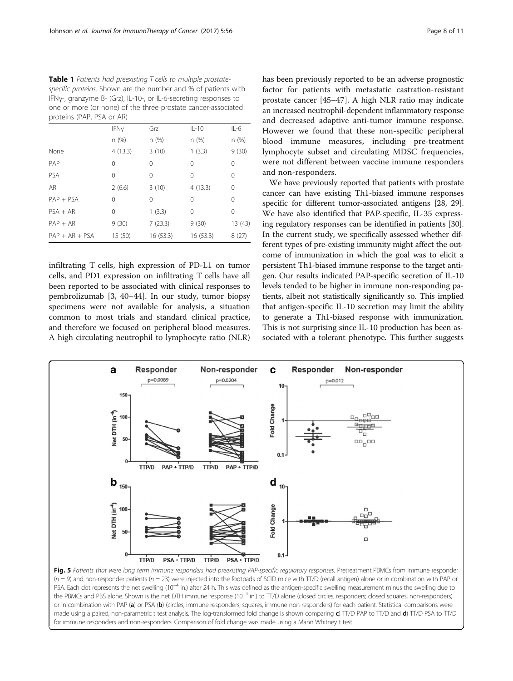<span id="page-7-0"></span>Table 1 Patients had preexisting T cells to multiple prostatespecific proteins. Shown are the number and % of patients with IFNγ-, granzyme B- (Grz), IL-10-, or IL-6-secreting responses to one or more (or none) of the three prostate cancer-associated proteins (PAP, PSA or AR)

|                  | IFNy    | Grz       | $IL-10$   | $IL-6$  |
|------------------|---------|-----------|-----------|---------|
|                  | n (%)   | n(%)      | n (%)     | n (%)   |
| None             | 4(13.3) | 3(10)     | 1(3.3)    | 9(30)   |
| PAP              | 0       | 0         | 0         | 0       |
| PSA              | 0       | 0         | $\Omega$  | 0       |
| AR               | 2(6.6)  | 3(10)     | 4(13.3)   | 0       |
| $PAP + PSA$      | 0       | 0         | 0         | 0       |
| $PSA + AR$       | 0       | 1(3.3)    | $\Omega$  | 0       |
| $PAP + AR$       | 9(30)   | 7(23.3)   | 9(30)     | 13 (43) |
| $PAP + AR + PSA$ | 15 (50) | 16 (53.3) | 16 (53.3) | 8(27)   |

infiltrating T cells, high expression of PD-L1 on tumor cells, and PD1 expression on infiltrating T cells have all been reported to be associated with clinical responses to pembrolizumab [\[3](#page-9-0), [40](#page-10-0)–[44](#page-10-0)]. In our study, tumor biopsy specimens were not available for analysis, a situation common to most trials and standard clinical practice, and therefore we focused on peripheral blood measures. A high circulating neutrophil to lymphocyte ratio (NLR) has been previously reported to be an adverse prognostic factor for patients with metastatic castration-resistant prostate cancer [[45](#page-10-0)–[47](#page-10-0)]. A high NLR ratio may indicate an increased neutrophil-dependent inflammatory response and decreased adaptive anti-tumor immune response.

However we found that these non-specific peripheral blood immune measures, including pre-treatment lymphocyte subset and circulating MDSC frequencies, were not different between vaccine immune responders and non-responders.

We have previously reported that patients with prostate cancer can have existing Th1-biased immune responses specific for different tumor-associated antigens [\[28](#page-10-0), [29](#page-10-0)]. We have also identified that PAP-specific, IL-35 expressing regulatory responses can be identified in patients [[30](#page-10-0)]. In the current study, we specifically assessed whether different types of pre-existing immunity might affect the outcome of immunization in which the goal was to elicit a persistent Th1-biased immune response to the target antigen. Our results indicated PAP-specific secretion of IL-10 levels tended to be higher in immune non-responding patients, albeit not statistically significantly so. This implied that antigen-specific IL-10 secretion may limit the ability to generate a Th1-biased response with immunization. This is not surprising since IL-10 production has been associated with a tolerant phenotype. This further suggests



PSA. Each dot represents the net swelling (10<sup>−4</sup> in.) after 24 h. This was defined as the antigen-specific swelling measurement minus the swelling due to the PBMCs and PBS alone. Shown is the net DTH immune response (10−<sup>4</sup> in.) to TT/D alone (closed circles, responders; closed squares, non-responders) or in combination with PAP (a) or PSA (b) (circles, immune responders; squares, immune non-responders) for each patient. Statistical comparisons were made using a paired, non-parametric t test analysis. The log-transformed fold change is shown comparing c) TT/D PAP to TT/D and d) TT/D PSA to TT/D for immune responders and non-responders. Comparison of fold change was made using a Mann Whitney t test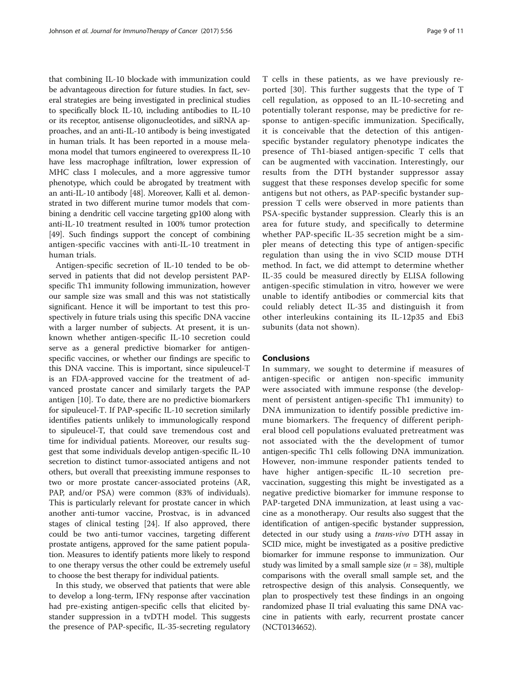that combining IL-10 blockade with immunization could be advantageous direction for future studies. In fact, several strategies are being investigated in preclinical studies to specifically block IL-10, including antibodies to IL-10 or its receptor, antisense oligonucleotides, and siRNA approaches, and an anti-IL-10 antibody is being investigated in human trials. It has been reported in a mouse melamona model that tumors engineered to overexpress IL-10 have less macrophage infiltration, lower expression of MHC class I molecules, and a more aggressive tumor phenotype, which could be abrogated by treatment with an anti-IL-10 antibody [[48](#page-10-0)]. Moreover, Kalli et al. demonstrated in two different murine tumor models that combining a dendritic cell vaccine targeting gp100 along with anti-IL-10 treatment resulted in 100% tumor protection [[49](#page-10-0)]. Such findings support the concept of combining antigen-specific vaccines with anti-IL-10 treatment in human trials.

Antigen-specific secretion of IL-10 tended to be observed in patients that did not develop persistent PAPspecific Th1 immunity following immunization, however our sample size was small and this was not statistically significant. Hence it will be important to test this prospectively in future trials using this specific DNA vaccine with a larger number of subjects. At present, it is unknown whether antigen-specific IL-10 secretion could serve as a general predictive biomarker for antigenspecific vaccines, or whether our findings are specific to this DNA vaccine. This is important, since sipuleucel-T is an FDA-approved vaccine for the treatment of advanced prostate cancer and similarly targets the PAP antigen [\[10\]](#page-9-0). To date, there are no predictive biomarkers for sipuleucel-T. If PAP-specific IL-10 secretion similarly identifies patients unlikely to immunologically respond to sipuleucel-T, that could save tremendous cost and time for individual patients. Moreover, our results suggest that some individuals develop antigen-specific IL-10 secretion to distinct tumor-associated antigens and not others, but overall that preexisting immune responses to two or more prostate cancer-associated proteins (AR, PAP, and/or PSA) were common (83% of individuals). This is particularly relevant for prostate cancer in which another anti-tumor vaccine, Prostvac, is in advanced stages of clinical testing [\[24](#page-9-0)]. If also approved, there could be two anti-tumor vaccines, targeting different prostate antigens, approved for the same patient population. Measures to identify patients more likely to respond to one therapy versus the other could be extremely useful to choose the best therapy for individual patients.

In this study, we observed that patients that were able to develop a long-term, IFNγ response after vaccination had pre-existing antigen-specific cells that elicited bystander suppression in a tvDTH model. This suggests the presence of PAP-specific, IL-35-secreting regulatory T cells in these patients, as we have previously reported [\[30](#page-10-0)]. This further suggests that the type of T cell regulation, as opposed to an IL-10-secreting and potentially tolerant response, may be predictive for response to antigen-specific immunization. Specifically, it is conceivable that the detection of this antigenspecific bystander regulatory phenotype indicates the presence of Th1-biased antigen-specific T cells that can be augmented with vaccination. Interestingly, our results from the DTH bystander suppressor assay suggest that these responses develop specific for some antigens but not others, as PAP-specific bystander suppression T cells were observed in more patients than PSA-specific bystander suppression. Clearly this is an area for future study, and specifically to determine whether PAP-specific IL-35 secretion might be a simpler means of detecting this type of antigen-specific regulation than using the in vivo SCID mouse DTH method. In fact, we did attempt to determine whether IL-35 could be measured directly by ELISA following antigen-specific stimulation in vitro, however we were unable to identify antibodies or commercial kits that could reliably detect IL-35 and distinguish it from other interleukins containing its IL-12p35 and Ebi3 subunits (data not shown).

## Conclusions

In summary, we sought to determine if measures of antigen-specific or antigen non-specific immunity were associated with immune response (the development of persistent antigen-specific Th1 immunity) to DNA immunization to identify possible predictive immune biomarkers. The frequency of different peripheral blood cell populations evaluated pretreatment was not associated with the the development of tumor antigen-specific Th1 cells following DNA immunization. However, non-immune responder patients tended to have higher antigen-specific IL-10 secretion prevaccination, suggesting this might be investigated as a negative predictive biomarker for immune response to PAP-targeted DNA immunization, at least using a vaccine as a monotherapy. Our results also suggest that the identification of antigen-specific bystander suppression, detected in our study using a trans-vivo DTH assay in SCID mice, might be investigated as a positive predictive biomarker for immune response to immunization. Our study was limited by a small sample size ( $n = 38$ ), multiple comparisons with the overall small sample set, and the retrospective design of this analysis. Consequently, we plan to prospectively test these findings in an ongoing randomized phase II trial evaluating this same DNA vaccine in patients with early, recurrent prostate cancer (NCT0134652).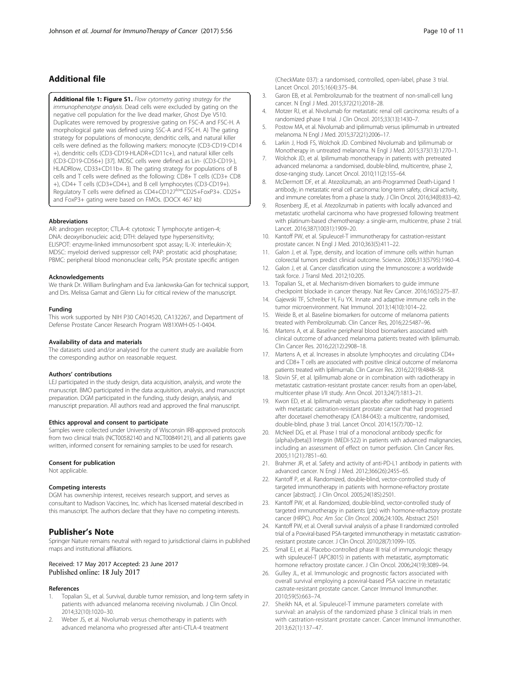## <span id="page-9-0"></span>Additional file

[Additional file 1: Figure S1.](dx.doi.org/10.1186/s40425-017-0260-3) Flow cytometry gating strategy for the immunophenotype analysis. Dead cells were excluded by gating on the negative cell population for the live dead marker, Ghost Dye V510. Duplicates were removed by progressive gating on FSC-A and FSC-H. A morphological gate was defined using SSC-A and FSC-H. A) The gating strategy for populations of monocyte, dendritic cells, and natural killer cells were defined as the following markers: monocyte (CD3-CD19-CD14 +), dendritic cells (CD3-CD19-HLADR+CD11c+), and natural killer cells (CD3-CD19-CD56+) [\[37](#page-10-0)]. MDSC cells were defined as Lin- (CD3-CD19-), HLADRlow, CD33+CD11b+. B) The gating strategy for populations of B cells and T cells were defined as the following: CD8+ T cells (CD3+ CD8 +), CD4+ T cells (CD3+CD4+), and B cell lymphocytes (CD3-CD19+). Regulatory T cells were defined as CD4+CD127<sup>low</sup>CD25+FoxP3+. CD25+ and FoxP3+ gating were based on FMOs. (DOCX 467 kb)

### **Abbreviations**

AR: androgen receptor; CTLA-4: cytotoxic T lymphocyte antigen-4; DNA: deoxyribonucleic acid; DTH: delayed type hypersensitivity; ELISPOT: enzyme-linked immunosorbent spot assay; IL-X: interleukin-X; MDSC: myeloid derived suppressor cell; PAP: prostatic acid phosphatase; PBMC: peripheral blood mononuclear cells; PSA: prostate specific antigen

#### Acknowledgements

We thank Dr. William Burlingham and Eva Jankowska-Gan for technical support, and Drs. Melissa Gamat and Glenn Liu for critical review of the manuscript.

#### Funding

This work supported by NIH P30 CA014520, CA132267, and Department of Defense Prostate Cancer Research Program W81XWH-05-1-0404.

#### Availability of data and materials

The datasets used and/or analysed for the current study are available from the corresponding author on reasonable request.

#### Authors' contributions

LEJ participated in the study design, data acquisition, analysis, and wrote the manuscript. BMO participated in the data acquisition, analysis, and manuscript preparation. DGM participated in the funding, study design, analysis, and manuscript preparation. All authors read and approved the final manuscript.

#### Ethics approval and consent to participate

Samples were collected under University of Wisconsin IRB-approved protocols from two clinical trials (NCT00582140 and NCT00849121), and all patients gave written, informed consent for remaining samples to be used for research.

#### Consent for publication

Not applicable.

#### Competing interests

DGM has ownership interest, receives research support, and serves as consultant to Madison Vaccines, Inc. which has licensed material described in this manuscript. The authors declare that they have no competing interests.

## Publisher's Note

Springer Nature remains neutral with regard to jurisdictional claims in published maps and institutional affiliations.

## Received: 17 May 2017 Accepted: 23 June 2017 Published online: 18 July 2017

#### References

- Topalian SL, et al. Survival, durable tumor remission, and long-term safety in patients with advanced melanoma receiving nivolumab. J Clin Oncol. 2014;32(10):1020–30.
- 2. Weber JS, et al. Nivolumab versus chemotherapy in patients with advanced melanoma who progressed after anti-CTLA-4 treatment

(CheckMate 037): a randomised, controlled, open-label, phase 3 trial. Lancet Oncol. 2015;16(4):375–84.

- 3. Garon EB, et al. Pembrolizumab for the treatment of non-small-cell lung cancer. N Engl J Med. 2015;372(21):2018–28.
- 4. Motzer RJ, et al. Nivolumab for metastatic renal cell carcinoma: results of a randomized phase II trial. J Clin Oncol. 2015;33(13):1430–7.
- 5. Postow MA, et al. Nivolumab and ipilimumab versus ipilimumab in untreated melanoma. N Engl J Med. 2015;372(21):2006–17.
- 6. Larkin J, Hodi FS, Wolchok JD. Combined Nivolumab and Ipilimumab or Monotherapy in untreated melanoma. N Engl J Med. 2015;373(13):1270–1.
- 7. Wolchok JD, et al. Ipilimumab monotherapy in patients with pretreated advanced melanoma: a randomised, double-blind, multicentre, phase 2, dose-ranging study. Lancet Oncol. 2010;11(2):155–64.
- 8. McDermott DF, et al. Atezolizumab, an anti-Programmed Death-Ligand 1 antibody, in metastatic renal cell carcinoma: long-term safety, clinical activity, and immune correlates from a phase Ia study. J Clin Oncol. 2016;34(8):833–42.
- 9. Rosenberg JE, et al. Atezolizumab in patients with locally advanced and metastatic urothelial carcinoma who have progressed following treatment with platinum-based chemotherapy: a single-arm, multicentre, phase 2 trial. Lancet. 2016;387(10031):1909–20.
- 10. Kantoff PW, et al. Sipuleucel-T immunotherapy for castration-resistant prostate cancer. N Engl J Med. 2010;363(5):411–22.
- 11. Galon J, et al. Type, density, and location of immune cells within human colorectal tumors predict clinical outcome. Science. 2006;313(5795):1960–4.
- 12. Galon J, et al. Cancer classification using the Immunoscore: a worldwide task force. J Transl Med. 2012;10:205.
- 13. Topalian SL, et al. Mechanism-driven biomarkers to guide immune checkpoint blockade in cancer therapy. Nat Rev Cancer. 2016;16(5):275–87.
- 14. Gajewski TF, Schreiber H, Fu YX. Innate and adaptive immune cells in the tumor microenvironment. Nat Immunol. 2013;14(10):1014–22.
- 15. Weide B, et al. Baseline biomarkers for outcome of melanoma patients treated with Pembrolizumab. Clin Cancer Res, 2016;22:5487–96.
- 16. Martens A, et al. Baseline peripheral blood biomarkers associated with clinical outcome of advanced melanoma patients treated with Ipilimumab. Clin Cancer Res. 2016;22(12):2908–18.
- 17. Martens A, et al. Increases in absolute lymphocytes and circulating CD4+ and CD8+ T cells are associated with positive clinical outcome of melanoma patients treated with Ipilimumab. Clin Cancer Res. 2016;22(19):4848–58.
- 18. Slovin SF, et al. Ipilimumab alone or in combination with radiotherapy in metastatic castration-resistant prostate cancer: results from an open-label, multicenter phase I/II study. Ann Oncol. 2013;24(7):1813–21.
- 19. Kwon ED, et al. Ipilimumab versus placebo after radiotherapy in patients with metastatic castration-resistant prostate cancer that had progressed after docetaxel chemotherapy (CA184-043): a multicentre, randomised, double-blind, phase 3 trial. Lancet Oncol. 2014;15(7):700–12.
- 20. McNeel DG, et al. Phase I trial of a monoclonal antibody specific for {alpha}v{beta}3 Integrin (MEDI-522) in patients with advanced malignancies, including an assessment of effect on tumor perfusion. Clin Cancer Res. 2005;11(21):7851–60.
- 21. Brahmer JR, et al. Safety and activity of anti-PD-L1 antibody in patients with advanced cancer. N Engl J Med. 2012;366(26):2455–65.
- 22. Kantoff P, et al. Randomized, double-blind, vector-controlled study of targeted immunotherapy in patients with hormone-refractory prostate cancer [abstract]. J Clin Oncol. 2005;24(18S):2501.
- 23. Kantoff PW, et al. Randomized, double-blind, vector-controlled study of targeted immunotherapy in patients (pts) with hormone-refractory prostate cancer (HRPC). Proc Am Soc Clin Oncol. 2006;24:100s. Abstract 2501
- 24. Kantoff PW, et al. Overall survival analysis of a phase II randomized controlled trial of a Poxviral-based PSA-targeted immunotherapy in metastatic castrationresistant prostate cancer. J Clin Oncol. 2010;28(7):1099–105.
- 25. Small EJ, et al. Placebo-controlled phase III trial of immunologic therapy with sipuleucel-T (APC8015) in patients with metastatic, asymptomatic hormone refractory prostate cancer. J Clin Oncol. 2006;24(19):3089–94.
- 26. Gulley JL, et al. Immunologic and prognostic factors associated with overall survival employing a poxviral-based PSA vaccine in metastatic castrate-resistant prostate cancer. Cancer Immunol Immunother. 2010;59(5):663–74.
- 27. Sheikh NA, et al. Sipuleucel-T immune parameters correlate with survival: an analysis of the randomized phase 3 clinical trials in men with castration-resistant prostate cancer. Cancer Immunol Immunother. 2013;62(1):137–47.